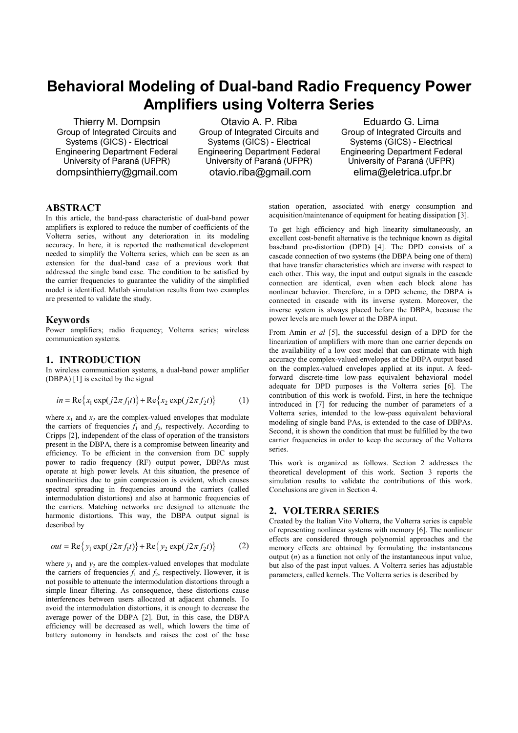# **Behavioral Modeling of Dual-band Radio Frequency Power Amplifiers using Volterra Series**

Thierry M. Dompsin Group of Integrated Circuits and Systems (GICS) - Electrical Engineering Department Federal University of Paraná (UFPR) dompsinthierry@gmail.com

Otavio A. P. Riba Group of Integrated Circuits and Systems (GICS) - Electrical Engineering Department Federal University of Paraná (UFPR) otavio.riba@gmail.com

Eduardo G. Lima Group of Integrated Circuits and Systems (GICS) - Electrical Engineering Department Federal University of Paraná (UFPR) elima@eletrica.ufpr.br

# **ABSTRACT**

In this article, the band-pass characteristic of dual-band power amplifiers is explored to reduce the number of coefficients of the Volterra series, without any deterioration in its modeling accuracy. In here, it is reported the mathematical development needed to simplify the Volterra series, which can be seen as an extension for the dual-band case of a previous work that addressed the single band case. The condition to be satisfied by the carrier frequencies to guarantee the validity of the simplified model is identified. Matlab simulation results from two examples are presented to validate the study.

#### **Keywords**

Power amplifiers; radio frequency; Volterra series; wireless communication systems.

## **1. INTRODUCTION**

In wireless communication systems, a dual-band power amplifier (DBPA) [1] is excited by the signal

$$
in = \text{Re}\{x_1 \exp(j2\pi f_1 t)\} + \text{Re}\{x_2 \exp(j2\pi f_2 t)\}\tag{1}
$$

where  $x_1$  and  $x_2$  are the complex-valued envelopes that modulate the carriers of frequencies  $f_1$  and  $f_2$ , respectively. According to Cripps [2], independent of the class of operation of the transistors present in the DBPA, there is a compromise between linearity and efficiency. To be efficient in the conversion from DC supply power to radio frequency (RF) output power, DBPAs must operate at high power levels. At this situation, the presence of nonlinearities due to gain compression is evident, which causes spectral spreading in frequencies around the carriers (called intermodulation distortions) and also at harmonic frequencies of the carriers. Matching networks are designed to attenuate the harmonic distortions. This way, the DBPA output signal is described by

$$
out = \text{Re}\{y_1 \exp(j2\pi f_1 t)\} + \text{Re}\{y_2 \exp(j2\pi f_2 t)\}\tag{2}
$$

where  $y_1$  and  $y_2$  are the complex-valued envelopes that modulate the carriers of frequencies  $f_1$  and  $f_2$ , respectively. However, it is not possible to attenuate the intermodulation distortions through a simple linear filtering. As consequence, these distortions cause interferences between users allocated at adjacent channels. To avoid the intermodulation distortions, it is enough to decrease the average power of the DBPA [2]. But, in this case, the DBPA efficiency will be decreased as well, which lowers the time of battery autonomy in handsets and raises the cost of the base station operation, associated with energy consumption and acquisition/maintenance of equipment for heating dissipation [3].

To get high efficiency and high linearity simultaneously, an excellent cost-benefit alternative is the technique known as digital baseband pre-distortion (DPD) [4]. The DPD consists of a cascade connection of two systems (the DBPA being one of them) that have transfer characteristics which are inverse with respect to each other. This way, the input and output signals in the cascade connection are identical, even when each block alone has nonlinear behavior. Therefore, in a DPD scheme, the DBPA is connected in cascade with its inverse system. Moreover, the inverse system is always placed before the DBPA, because the power levels are much lower at the DBPA input.

From Amin *et al* [5], the successful design of a DPD for the linearization of amplifiers with more than one carrier depends on the availability of a low cost model that can estimate with high accuracy the complex-valued envelopes at the DBPA output based on the complex-valued envelopes applied at its input. A feedforward discrete-time low-pass equivalent behavioral model adequate for DPD purposes is the Volterra series [6]. The contribution of this work is twofold. First, in here the technique introduced in [7] for reducing the number of parameters of a Volterra series, intended to the low-pass equivalent behavioral modeling of single band PAs, is extended to the case of DBPAs. Second, it is shown the condition that must be fulfilled by the two carrier frequencies in order to keep the accuracy of the Volterra series.

This work is organized as follows. Section 2 addresses the theoretical development of this work. Section 3 reports the simulation results to validate the contributions of this work. Conclusions are given in Section 4.

#### **2. VOLTERRA SERIES**

Created by the Italian Vito Volterra, the Volterra series is capable of representing nonlinear systems with memory [6]. The nonlinear effects are considered through polynomial approaches and the memory effects are obtained by formulating the instantaneous output  $(n)$  as a function not only of the instantaneous input value, but also of the past input values. A Volterra series has adjustable parameters, called kernels. The Volterra series is described by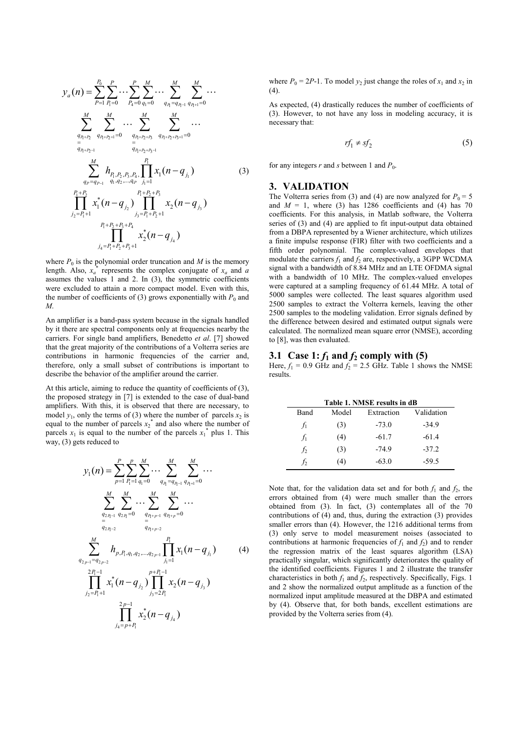$$
y_{a}(n) = \sum_{P=1}^{P_{0}} \sum_{P_{1}=0}^{P} \cdots \sum_{P_{4}=0}^{P} \sum_{q_{1}=0}^{M} \cdots \sum_{q_{1}=q_{P_{1}-1}}^{M} \sum_{q_{1}+q_{1}-1}^{M} \cdots
$$

$$
\sum_{\substack{q_{1}+p_{2}\\=q_{1}+p_{2}-1}}^{M} \sum_{q_{1}+p_{2}+1}^{M} \cdots \sum_{\substack{q_{1}+p_{2}+p_{3}-1\\=q_{1}+p_{2}+p_{3}-1}}^{M} \sum_{\substack{q_{1}+p_{2}+p_{3}-1\\=q_{1}+p_{2}+p_{3}-1}}^{M} \cdots
$$

$$
\sum_{q_{P}=q_{P-1}}^{M} h_{P_{1},P_{2},P_{3},P_{4},\prod_{j_{1}=1}^{P_{1}} x_{1}(n-q_{j_{1}})
$$

$$
\prod_{j_{2}=P_{1}+1}^{P_{1}+P_{2}} x_{1}^{*}(n-q_{j_{2}}) \prod_{j_{3}=P_{1}+P_{2}+1}^{P_{1}+P_{2}+P_{3}} x_{2}(n-q_{j_{3}})
$$

$$
y_{4}=P_{1}+P_{2}+P_{3}+1} x_{2}^{*}(n-q_{j_{4}})
$$

where  $P_0$  is the polynomial order truncation and  $M$  is the memory length. Also,  $x_a^*$  represents the complex conjugate of  $x_a$  and *a* assumes the values 1 and 2. In (3), the symmetric coefficients were excluded to attain a more compact model. Even with this, the number of coefficients of (3) grows exponentially with  $P_0$  and *M*.

An amplifier is a band-pass system because in the signals handled by it there are spectral components only at frequencies nearby the carriers. For single band amplifiers, Benedetto *et al*. [7] showed that the great majority of the contributions of a Volterra series are contributions in harmonic frequencies of the carrier and, therefore, only a small subset of contributions is important to describe the behavior of the amplifier around the carrier.

At this article, aiming to reduce the quantity of coefficients of (3), the proposed strategy in [7] is extended to the case of dual-band amplifiers. With this, it is observed that there are necessary, to model  $y_1$ , only the terms of (3) where the number of parcels  $x_2$  is equal to the number of parcels  $x_2^*$  and also where the number of parcels  $x_1$  is equal to the number of the parcels  $x_1^*$  plus 1. This way, (3) gets reduced to

$$
y_{1}(n) = \sum_{p=1}^{P} \sum_{P_{1}=1}^{p} \sum_{q_{1}=0}^{M} \cdots \sum_{q_{p}=q_{p-1}}^{M} \sum_{q_{p+1}=0}^{M} \cdots
$$

$$
\sum_{\substack{q_{2p_{1}-1} \neq q_{2p_{1}-2}}}^{M} \sum_{q_{2p_{1}-2}}^{M} \cdots \sum_{\substack{q_{p+p-1} \neq q_{p+p}=0}}^{M} \sum_{q_{2p_{1}-2}}^{M} \cdots
$$

$$
\sum_{\substack{q_{2p-1}=q_{2p-2}}}^{M} h_{p,P_{1},q_{1},q_{2},\ldots,q_{2p-1}} \prod_{j_{1}=1}^{P_{1}} x_{1}(n-q_{j_{1}})
$$
(4)
$$
\prod_{j_{2}=P_{1}+1}^{2P_{1}-1} x_{1}^{*}(n-q_{j_{2}}) \prod_{j_{3}=2P_{1}}^{p+P_{1}-1} x_{2}(n-q_{j_{3}})
$$

$$
\prod_{j_{4}=p+P_{1}}^{2P-1} x_{2}^{*}(n-q_{j_{4}})
$$

where  $P_0 = 2P-1$ . To model  $y_2$  just change the roles of  $x_1$  and  $x_2$  in (4).

As expected, (4) drastically reduces the number of coefficients of (3). However, to not have any loss in modeling accuracy, it is necessary that:

$$
rf_1 \neq sf_2 \tag{5}
$$

for any integers  $r$  and  $s$  between 1 and  $P_0$ .

# **3. VALIDATION**

The Volterra series from (3) and (4) are now analyzed for  $P_0 = 5$ and  $M = 1$ , where (3) has 1286 coefficients and (4) has 70 coefficients. For this analysis, in Matlab software, the Volterra series of (3) and (4) are applied to fit input-output data obtained from a DBPA represented by a Wiener architecture, which utilizes a finite impulse response (FIR) filter with two coefficients and a fifth order polynomial. The complex-valued envelopes that modulate the carriers  $f_1$  and  $f_2$  are, respectively, a 3GPP WCDMA signal with a bandwidth of 8.84 MHz and an LTE OFDMA signal with a bandwidth of 10 MHz. The complex-valued envelopes were captured at a sampling frequency of 61.44 MHz. A total of 5000 samples were collected. The least squares algorithm used 2500 samples to extract the Volterra kernels, leaving the other 2500 samples to the modeling validation. Error signals defined by the difference between desired and estimated output signals were calculated. The normalized mean square error (NMSE), according to [8], was then evaluated.

## **3.1 Case 1:**  $f_1$  and  $f_2$  comply with (5)

Here,  $f_1 = 0.9$  GHz and  $f_2 = 2.5$  GHz. Table 1 shows the NMSE results.

| Table 1. NMSE results in dB |       |            |            |  |  |
|-----------------------------|-------|------------|------------|--|--|
| Band                        | Model | Extraction | Validation |  |  |
| $f_1$                       | (3)   | $-73.0$    | $-34.9$    |  |  |
| $f_1$                       | (4)   | $-61.7$    | $-61.4$    |  |  |
| f <sub>2</sub>              | (3)   | $-74.9$    | $-37.2$    |  |  |
| t٥                          | (4)   | $-63.0$    | $-59.5$    |  |  |

Note that, for the validation data set and for both  $f_1$  and  $f_2$ , the errors obtained from (4) were much smaller than the errors obtained from (3). In fact, (3) contemplates all of the 70 contributions of (4) and, thus, during the extraction (3) provides smaller errors than (4). However, the 1216 additional terms from (3) only serve to model measurement noises (associated to contributions at harmonic frequencies of  $f_1$  and  $f_2$ ) and to render the regression matrix of the least squares algorithm (LSA) practically singular, which significantly deteriorates the quality of the identified coefficients. Figures 1 and 2 illustrate the transfer characteristics in both  $f_1$  and  $f_2$ , respectively. Specifically, Figs. 1 and 2 show the normalized output amplitude as a function of the normalized input amplitude measured at the DBPA and estimated by (4). Observe that, for both bands, excellent estimations are provided by the Volterra series from (4).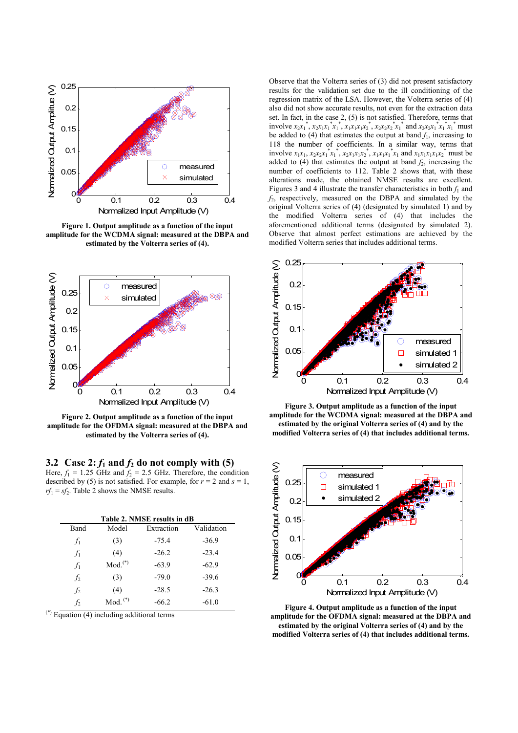

**Figure 1. Output amplitude as a function of the input amplitude for the WCDMA signal: measured at the DBPA and estimated by the Volterra series of (4).** 



**Figure 2. Output amplitude as a function of the input amplitude for the OFDMA signal: measured at the DBPA and estimated by the Volterra series of (4).** 

**3.2 Case 2:**  $f_1$  and  $f_2$  do not comply with (5) Here,  $f_1 = 1.25$  GHz and  $f_2 = 2.5$  GHz. Therefore, the condition described by (5) is not satisfied. For example, for  $r = 2$  and  $s = 1$ ,  $rf_1 = sf_2$ . Table 2 shows the NMSE results.

| Table 2. NMSE results in dB |                       |            |            |  |  |
|-----------------------------|-----------------------|------------|------------|--|--|
| Band                        | Model                 | Extraction | Validation |  |  |
| $f_1$                       | (3)                   | $-75.4$    | $-36.9$    |  |  |
| $f_1$                       | (4)                   | $-26.2$    | $-23.4$    |  |  |
| $f_1$                       | $Mod.$ <sup>(*)</sup> | $-63.9$    | $-62.9$    |  |  |
| f <sub>2</sub>              | (3)                   | $-79.0$    | $-39.6$    |  |  |
| f <sub>2</sub>              | (4)                   | $-28.5$    | $-26.3$    |  |  |
| $\mathfrak{f}_2$            | $Mod.$ <sup>(*)</sup> | $-66.2$    | $-61.0$    |  |  |

 $(*)$  Equation (4) including additional terms

Observe that the Volterra series of (3) did not present satisfactory results for the validation set due to the ill conditioning of the regression matrix of the LSA. However, the Volterra series of (4) also did not show accurate results, not even for the extraction data set. In fact, in the case 2, (5) is not satisfied. Therefore, terms that involve  $x_2x_1^*$ ,  $x_2x_1x_1^*x_1^*$ ,  $x_1x_1x_1x_2^*$ ,  $x_2x_2x_2^*x_1^*$  and  $x_2x_2x_1^*x_1^*x_1^*$  must be added to  $(4)$  that estimates the output at band  $f_1$ , increasing to 118 the number of coefficients. In a similar way, terms that involve  $x_1x_1, x_2x_2x_1^*x_1^*, x_2x_1x_1x_2^*, x_1x_1x_1^*x_1$  and  $x_1x_1x_1x_2^*$  must be added to  $(4)$  that estimates the output at band  $f_2$ , increasing the number of coefficients to 112. Table 2 shows that, with these alterations made, the obtained NMSE results are excellent. Figures 3 and 4 illustrate the transfer characteristics in both  $f_1$  and *f*2, respectively, measured on the DBPA and simulated by the original Volterra series of (4) (designated by simulated 1) and by the modified Volterra series of (4) that includes the aforementioned additional terms (designated by simulated 2). Observe that almost perfect estimations are achieved by the modified Volterra series that includes additional terms.



**Figure 3. Output amplitude as a function of the input amplitude for the WCDMA signal: measured at the DBPA and estimated by the original Volterra series of (4) and by the modified Volterra series of (4) that includes additional terms.** 



**Figure 4. Output amplitude as a function of the input amplitude for the OFDMA signal: measured at the DBPA and estimated by the original Volterra series of (4) and by the modified Volterra series of (4) that includes additional terms.**